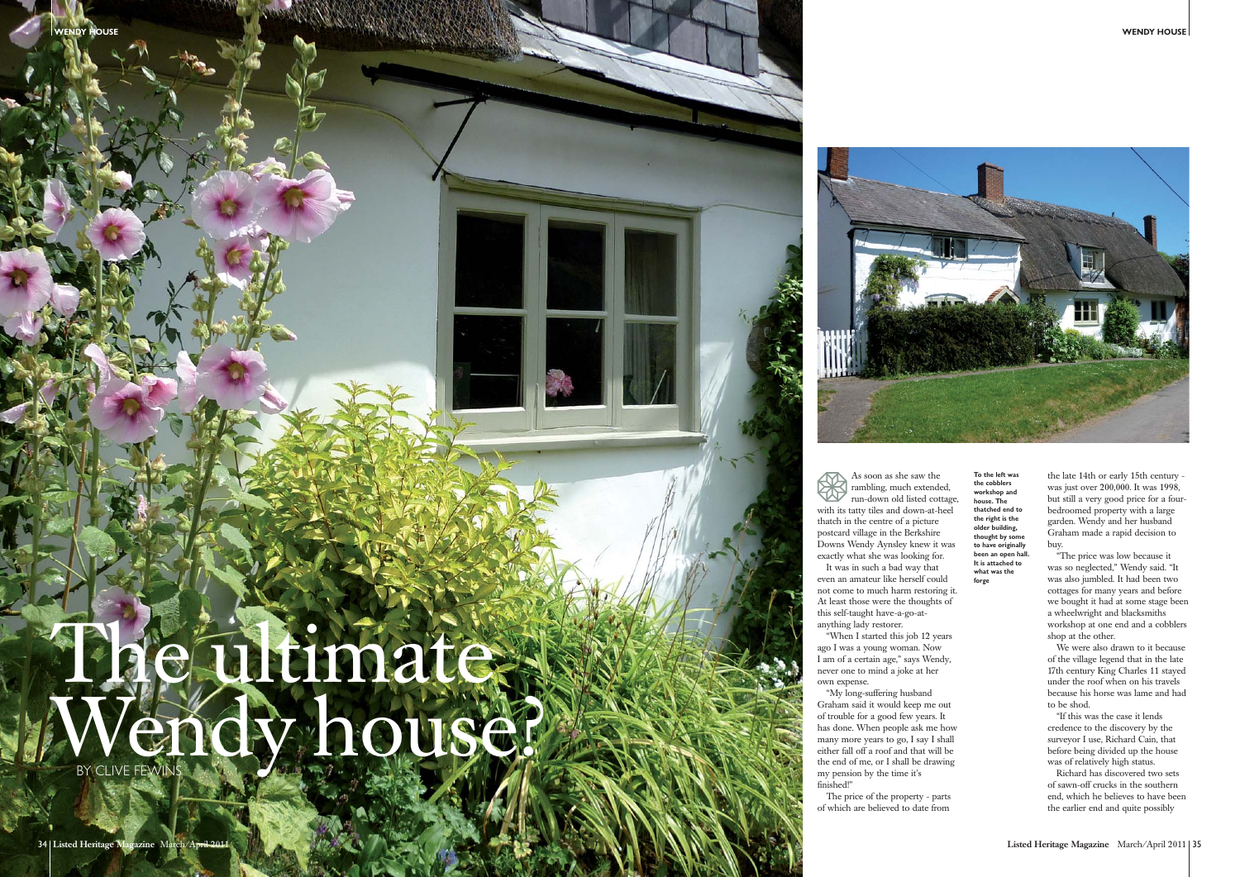## The ultimate Wendy house?



As soon as she saw the rambling, much extended, run-down old listed cottage, with its tatty tiles and down-at-heel thatch in the centre of a picture postcard village in the Berkshire Downs Wendy Aynsley knew it was exactly what she was looking for. It was in such a bad way that even an amateur like herself could not come to much harm restoring it. At least those were the thoughts of

this self-taught have-a-go-atanything lady restorer.

"When I started this job 12 years ago I was a young woman. Now I am of a certain age," says Wendy, never one to mind a joke at her own expense.

"My long-suffering husband Graham said it would keep me out of trouble for a good few years. It has done. When people ask me how many more years to go, I say I shall either fall off a roof and that will be the end of me, or I shall be drawing my pension by the time it's finished!"

The price of the property - parts of which are believed to date from

**To the left was the cobblers workshop and house. The thatched end to the right is the older building, thought by some to have originally been an open hall. It is attached to what was the forge**

the late 14th or early 15th century was just over 200,000. It was 1998, but still a very good price for a fourbedroomed property with a large garden. Wendy and her husband Graham made a rapid decision to buy.

"The price was low because it was so neglected," Wendy said. "It was also jumbled. It had been two cottages for many years and before we bought it had at some stage been a wheelwright and blacksmiths workshop at one end and a cobblers shop at the other.

We were also drawn to it because of the village legend that in the late 17th century King Charles 11 stayed under the roof when on his travels because his horse was lame and had to be shod.

"If this was the case it lends credence to the discovery by the surveyor I use, Richard Cain, that before being divided up the house was of relatively high status.

Richard has discovered two sets of sawn-off crucks in the southern end, which he believes to have been the earlier end and quite possibly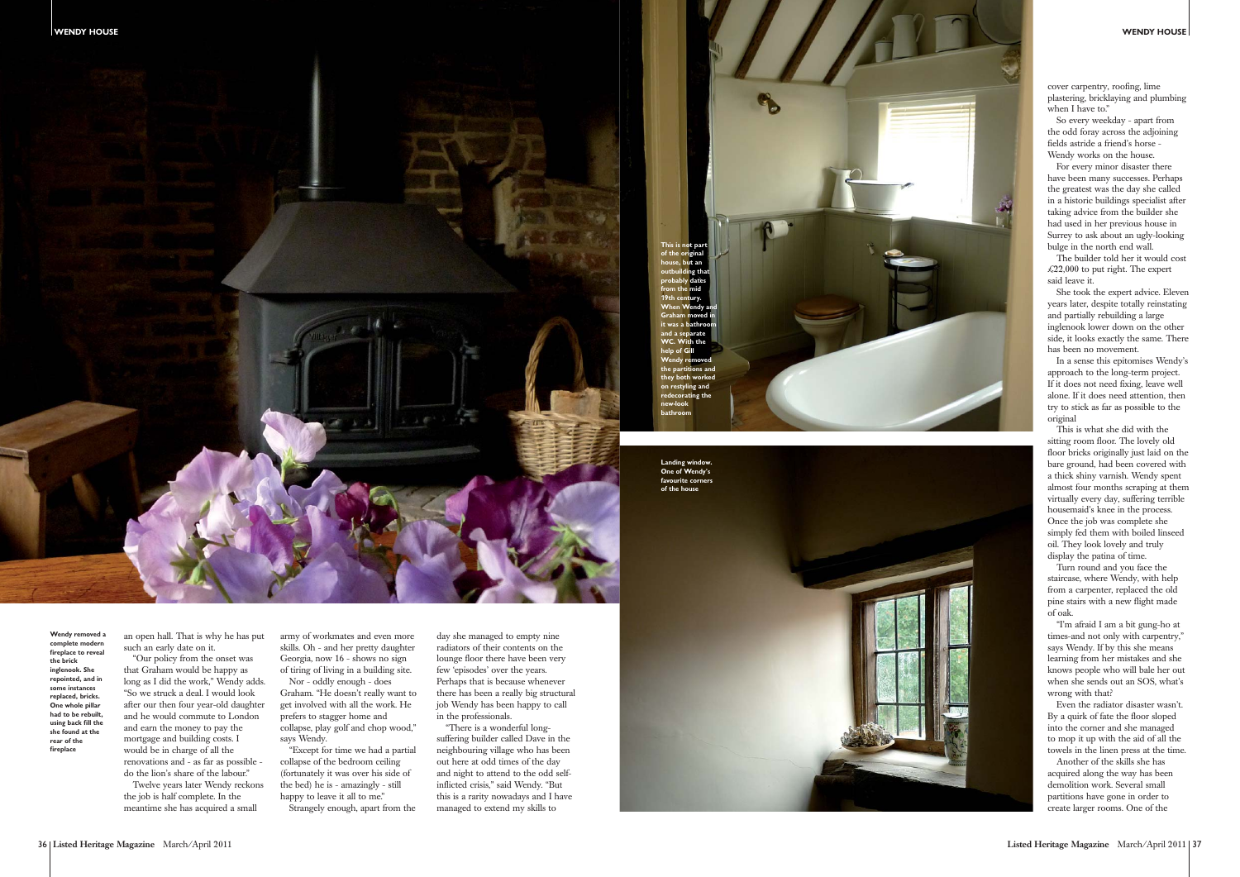



**Wendy removed a complete modern fireplace to reveal the brick inglenook. She repointed, and in some instances replaced, bricks. One whole pillar had to be rebuilt, using back fill the she found at the rear of the fireplace**

an open hall. That is why he has put such an early date on it.

"Our policy from the onset was that Graham would be happy as long as I did the work," Wendy adds. "So we struck a deal. I would look after our then four year-old daughter and he would commute to London and earn the money to pay the mortgage and building costs. I would be in charge of all the renovations and - as far as possible -

do the lion's share of the labour." Twelve years later Wendy reckons

the job is half complete. In the meantime she has acquired a small army of workmates and even more skills. Oh - and her pretty daughter Georgia, now 16 - shows no sign of tiring of living in a building site.

Nor - oddly enough - does Graham. "He doesn't really want to get involved with all the work. He prefers to stagger home and collapse, play golf and chop wood," says Wendy.

"Except for time we had a partial collapse of the bedroom ceiling (fortunately it was over his side of the bed) he is - amazingly - still happy to leave it all to me."

Strangely enough, apart from the

day she managed to empty nine radiators of their contents on the lounge floor there have been very few 'episodes' over the years. Perhaps that is because whenever there has been a really big structural job Wendy has been happy to call in the professionals.

"I'm afraid I am a bit gung-ho at times-and not only with carpentry," says Wendy. If by this she means learning from her mistakes and she knows people who will bale her out when she sends out an SOS, what's wrong with that?

"There is a wonderful longsuffering builder called Dave in the neighbouring village who has been out here at odd times of the day and night to attend to the odd selfinflicted crisis," said Wendy. "But this is a rarity nowadays and I have managed to extend my skills to

cover carpentry, roofing, lime plastering, bricklaying and plumbing when I have to."

So every weekday - apart from the odd foray across the adjoining fields astride a friend's horse - Wendy works on the house.

For every minor disaster there have been many successes. Perhaps the greatest was the day she called in a historic buildings specialist after taking advice from the builder she had used in her previous house in Surrey to ask about an ugly-looking bulge in the north end wall.

The builder told her it would cost  $\text{\pounds}22.000$  to put right. The expert said leave it.

She took the expert advice. Eleven years later, despite totally reinstating and partially rebuilding a large inglenook lower down on the other side, it looks exactly the same. There has been no movement.

In a sense this epitomises Wendy's approach to the long-term project. If it does not need fixing, leave well alone. If it does need attention, then try to stick as far as possible to the original

This is what she did with the sitting room floor. The lovely old floor bricks originally just laid on the bare ground, had been covered with a thick shiny varnish. Wendy spent almost four months scraping at them virtually every day, suffering terrible housemaid's knee in the process. Once the job was complete she simply fed them with boiled linseed oil. They look lovely and truly display the patina of time.

Turn round and you face the staircase, where Wendy, with help from a carpenter, replaced the old pine stairs with a new flight made of oak.

Even the radiator disaster wasn't. By a quirk of fate the floor sloped into the corner and she managed to mop it up with the aid of all the towels in the linen press at the time.

Another of the skills she has acquired along the way has been demolition work. Several small partitions have gone in order to create larger rooms. One of the

**This is not part** 

**of the original house, but an outbuilding that probably dates from the mid 19th century. When Wendy and Graham moved in it was a bathroom and a separate WC. With the help of Gill Wendy removed the partitions and they both worked on restyling and ing the new-look bathroom**

**Landing window. One of Wendy's favourite corners of the house**